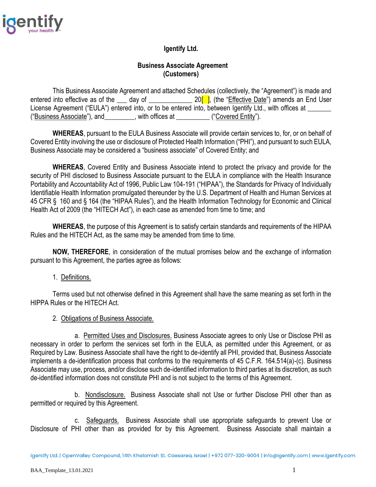

# **Igentify Ltd.**

## **Business Associate Agreement (Customers)**

This Business Associate Agreement and attached Schedules (collectively, the "Agreement") is made and entered into effective as of the  $\_\_$  day of  $\_\_\_\_$  20<sup> $\_\_\_\_$ </sup>, (the "Effective Date") amends an End User License Agreement ("EULA") entered into, or to be entered into, between Igentify Ltd., with offices at \_\_\_\_\_\_\_ ("Business Associate"), and\_\_\_\_\_\_\_\_\_, with offices at \_\_\_\_\_\_\_\_\_\_ ("Covered Entity").

**WHEREAS**, pursuant to the EULA Business Associate will provide certain services to, for, or on behalf of Covered Entity involving the use or disclosure of Protected Health Information ("PHI"), and pursuant to such EULA, Business Associate may be considered a "business associate" of Covered Entity; and

**WHEREAS**, Covered Entity and Business Associate intend to protect the privacy and provide for the security of PHI disclosed to Business Associate pursuant to the EULA in compliance with the Health Insurance Portability and Accountability Act of 1996, Public Law 104-191 ("HIPAA"), the Standards for Privacy of Individually Identifiable Health Information promulgated thereunder by the U.S. Department of Health and Human Services at 45 CFR § 160 and § 164 (the "HIPAA Rules"), and the Health Information Technology for Economic and Clinical Health Act of 2009 (the "HITECH Act"), in each case as amended from time to time; and

**WHEREAS**, the purpose of this Agreement is to satisfy certain standards and requirements of the HIPAA Rules and the HITECH Act, as the same may be amended from time to time.

**NOW, THEREFORE**, in consideration of the mutual promises below and the exchange of information pursuant to this Agreement, the parties agree as follows:

## 1. Definitions.

Terms used but not otherwise defined in this Agreement shall have the same meaning as set forth in the HIPPA Rules or the HITECH Act.

#### 2. Obligations of Business Associate.

a. Permitted Uses and Disclosures. Business Associate agrees to only Use or Disclose PHI as necessary in order to perform the services set forth in the EULA, as permitted under this Agreement, or as Required by Law. Business Associate shall have the right to de-identify all PHI, provided that, Business Associate implements a de-identification process that conforms to the requirements of 45 C.F.R. 164.514(a)-(c). Business Associate may use, process, and/or disclose such de-identified information to third parties at its discretion, as such de-identified information does not constitute PHI and is not subject to the terms of this Agreement.

b. Nondisclosure. Business Associate shall not Use or further Disclose PHI other than as permitted or required by this Agreement.

c. Safeguards. Business Associate shall use appropriate safeguards to prevent Use or Disclosure of PHI other than as provided for by this Agreement. Business Associate shall maintain a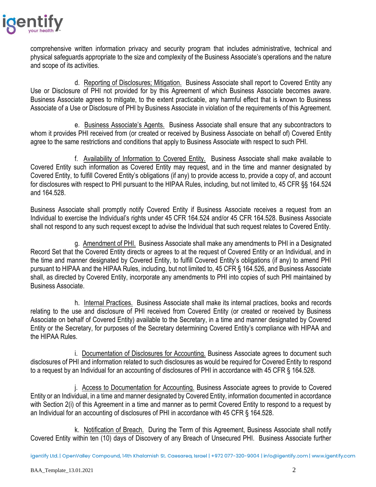

comprehensive written information privacy and security program that includes administrative, technical and physical safeguards appropriate to the size and complexity of the Business Associate's operations and the nature and scope of its activities.

d. Reporting of Disclosures; Mitigation. Business Associate shall report to Covered Entity any Use or Disclosure of PHI not provided for by this Agreement of which Business Associate becomes aware. Business Associate agrees to mitigate, to the extent practicable, any harmful effect that is known to Business Associate of a Use or Disclosure of PHI by Business Associate in violation of the requirements of this Agreement.

e. Business Associate's Agents. Business Associate shall ensure that any subcontractors to whom it provides PHI received from (or created or received by Business Associate on behalf of) Covered Entity agree to the same restrictions and conditions that apply to Business Associate with respect to such PHI.

f. Availability of Information to Covered Entity. Business Associate shall make available to Covered Entity such information as Covered Entity may request, and in the time and manner designated by Covered Entity, to fulfill Covered Entity's obligations (if any) to provide access to, provide a copy of, and account for disclosures with respect to PHI pursuant to the HIPAA Rules, including, but not limited to, 45 CFR §§ 164.524 and 164.528.

Business Associate shall promptly notify Covered Entity if Business Associate receives a request from an Individual to exercise the Individual's rights under 45 CFR 164.524 and/or 45 CFR 164.528. Business Associate shall not respond to any such request except to advise the Individual that such request relates to Covered Entity.

g. Amendment of PHI. Business Associate shall make any amendments to PHI in a Designated Record Set that the Covered Entity directs or agrees to at the request of Covered Entity or an Individual, and in the time and manner designated by Covered Entity, to fulfill Covered Entity's obligations (if any) to amend PHI pursuant to HIPAA and the HIPAA Rules, including, but not limited to, 45 CFR § 164.526, and Business Associate shall, as directed by Covered Entity, incorporate any amendments to PHI into copies of such PHI maintained by Business Associate.

h. Internal Practices. Business Associate shall make its internal practices, books and records relating to the use and disclosure of PHI received from Covered Entity (or created or received by Business Associate on behalf of Covered Entity) available to the Secretary, in a time and manner designated by Covered Entity or the Secretary, for purposes of the Secretary determining Covered Entity's compliance with HIPAA and the HIPAA Rules.

i. Documentation of Disclosures for Accounting. Business Associate agrees to document such disclosures of PHI and information related to such disclosures as would be required for Covered Entity to respond to a request by an Individual for an accounting of disclosures of PHI in accordance with 45 CFR § 164.528.

j. Access to Documentation for Accounting. Business Associate agrees to provide to Covered Entity or an Individual, in a time and manner designated by Covered Entity, information documented in accordance with Section 2(i) of this Agreement in a time and manner as to permit Covered Entity to respond to a request by an Individual for an accounting of disclosures of PHI in accordance with 45 CFR § 164.528.

k. Notification of Breach. During the Term of this Agreement, Business Associate shall notify Covered Entity within ten (10) days of Discovery of any Breach of Unsecured PHI. Business Associate further

igentify Ltd. | OpenValley Compound, 14th Khalamish St. Caesarea, Israel | +972 077-320-9004 | info@igentify.com | www.igentify.com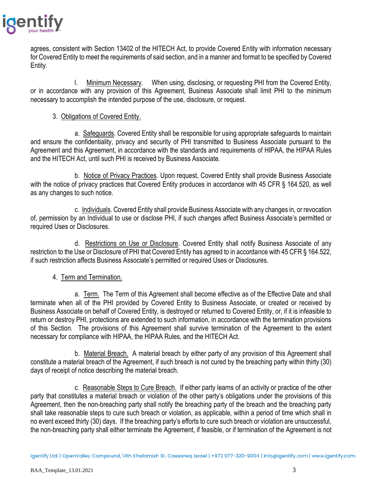

agrees, consistent with Section 13402 of the HITECH Act, to provide Covered Entity with information necessary for Covered Entity to meet the requirements of said section, and in a manner and format to be specified by Covered Entity.

l. Minimum Necessary. When using, disclosing, or requesting PHI from the Covered Entity, or in accordance with any provision of this Agreement, Business Associate shall limit PHI to the minimum necessary to accomplish the intended purpose of the use, disclosure, or request.

## 3. Obligations of Covered Entity.

a. Safeguards. Covered Entity shall be responsible for using appropriate safeguards to maintain and ensure the confidentiality, privacy and security of PHI transmitted to Business Associate pursuant to the Agreement and this Agreement, in accordance with the standards and requirements of HIPAA, the HIPAA Rules and the HITECH Act, until such PHI is received by Business Associate.

b. Notice of Privacy Practices. Upon request, Covered Entity shall provide Business Associate with the notice of privacy practices that Covered Entity produces in accordance with 45 CFR § 164.520, as well as any changes to such notice.

c. Individuals. Covered Entity shall provide Business Associate with any changes in, or revocation of, permission by an Individual to use or disclose PHI, if such changes affect Business Associate's permitted or required Uses or Disclosures.

d. Restrictions on Use or Disclosure. Covered Entity shall notify Business Associate of any restriction to the Use or Disclosure of PHI that Covered Entity has agreed to in accordance with 45 CFR § 164.522, if such restriction affects Business Associate's permitted or required Uses or Disclosures.

## 4. Term and Termination.

a. Term. The Term of this Agreement shall become effective as of the Effective Date and shall terminate when all of the PHI provided by Covered Entity to Business Associate, or created or received by Business Associate on behalf of Covered Entity, is destroyed or returned to Covered Entity, or, if it is infeasible to return or destroy PHI, protections are extended to such information, in accordance with the termination provisions of this Section. The provisions of this Agreement shall survive termination of the Agreement to the extent necessary for compliance with HIPAA, the HIPAA Rules, and the HITECH Act.

b. Material Breach. A material breach by either party of any provision of this Agreement shall constitute a material breach of the Agreement, if such breach is not cured by the breaching party within thirty (30) days of receipt of notice describing the material breach.

c. Reasonable Steps to Cure Breach. If either party learns of an activity or practice of the other party that constitutes a material breach or violation of the other party's obligations under the provisions of this Agreement, then the non-breaching party shall notify the breaching party of the breach and the breaching party shall take reasonable steps to cure such breach or violation, as applicable, within a period of time which shall in no event exceed thirty (30) days. If the breaching party's efforts to cure such breach or violation are unsuccessful, the non-breaching party shall either terminate the Agreement, if feasible, or if termination of the Agreement is not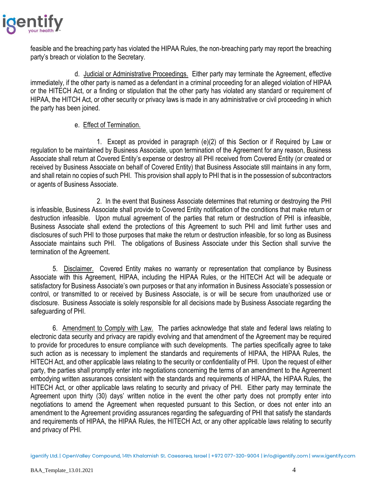

feasible and the breaching party has violated the HIPAA Rules, the non-breaching party may report the breaching party's breach or violation to the Secretary.

d. Judicial or Administrative Proceedings. Either party may terminate the Agreement, effective immediately, if the other party is named as a defendant in a criminal proceeding for an alleged violation of HIPAA or the HITECH Act, or a finding or stipulation that the other party has violated any standard or requirement of HIPAA, the HITCH Act, or other security or privacy laws is made in any administrative or civil proceeding in which the party has been joined.

## e. Effect of Termination.

1. Except as provided in paragraph (e)(2) of this Section or if Required by Law or regulation to be maintained by Business Associate, upon termination of the Agreement for any reason, Business Associate shall return at Covered Entity's expense or destroy all PHI received from Covered Entity (or created or received by Business Associate on behalf of Covered Entity) that Business Associate still maintains in any form, and shall retain no copies of such PHI. This provision shall apply to PHI that is in the possession of subcontractors or agents of Business Associate.

2. In the event that Business Associate determines that returning or destroying the PHI is infeasible, Business Associate shall provide to Covered Entity notification of the conditions that make return or destruction infeasible. Upon mutual agreement of the parties that return or destruction of PHI is infeasible, Business Associate shall extend the protections of this Agreement to such PHI and limit further uses and disclosures of such PHI to those purposes that make the return or destruction infeasible, for so long as Business Associate maintains such PHI. The obligations of Business Associate under this Section shall survive the termination of the Agreement.

5. Disclaimer. Covered Entity makes no warranty or representation that compliance by Business Associate with this Agreement, HIPAA, including the HIPAA Rules, or the HITECH Act will be adequate or satisfactory for Business Associate's own purposes or that any information in Business Associate's possession or control, or transmitted to or received by Business Associate, is or will be secure from unauthorized use or disclosure. Business Associate is solely responsible for all decisions made by Business Associate regarding the safeguarding of PHI.

6. Amendment to Comply with Law. The parties acknowledge that state and federal laws relating to electronic data security and privacy are rapidly evolving and that amendment of the Agreement may be required to provide for procedures to ensure compliance with such developments. The parties specifically agree to take such action as is necessary to implement the standards and requirements of HIPAA, the HIPAA Rules, the HITECH Act, and other applicable laws relating to the security or confidentiality of PHI. Upon the request of either party, the parties shall promptly enter into negotiations concerning the terms of an amendment to the Agreement embodying written assurances consistent with the standards and requirements of HIPAA, the HIPAA Rules, the HITECH Act, or other applicable laws relating to security and privacy of PHI. Either party may terminate the Agreement upon thirty (30) days' written notice in the event the other party does not promptly enter into negotiations to amend the Agreement when requested pursuant to this Section, or does not enter into an amendment to the Agreement providing assurances regarding the safeguarding of PHI that satisfy the standards and requirements of HIPAA, the HIPAA Rules, the HITECH Act, or any other applicable laws relating to security and privacy of PHI.

igentify Ltd. | OpenValley Compound, 14th Khalamish St. Caesarea, Israel | +972 077-320-9004 | info@igentify.com | www.igentify.com